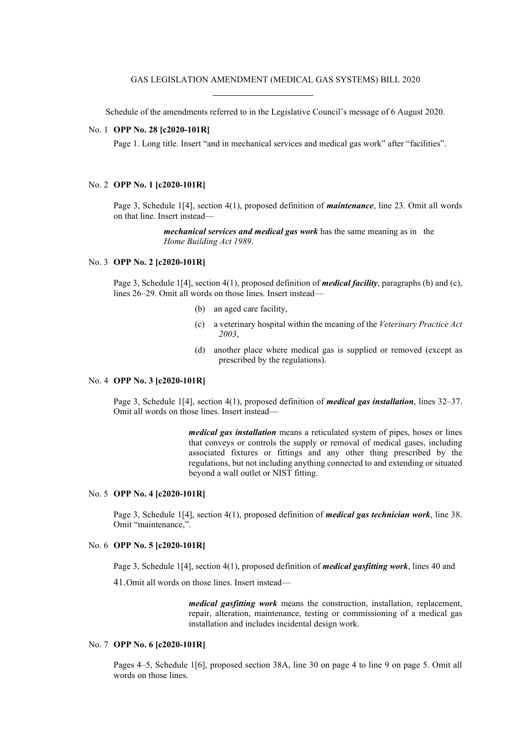Schedule of the amendments referred to in the Legislative Council's message of 6 August 2020.

# No. 1 **OPP No. 28 [c2020-101R]**

Page 1. Long title. Insert "and in mechanical services and medical gas work" after "facilities".

### No. 2 **OPP No. 1 [c2020-101R]**

Page 3, Schedule 1[4], section 4(1), proposed definition of *maintenance*, line 23. Omit all words on that line. Insert instead—

> *mechanical services and medical gas work* has the same meaning as in the *Home Building Act 1989*.

### No. 3 **OPP No. 2 [c2020-101R]**

Page 3, Schedule 1[4], section 4(1), proposed definition of *medical facility*, paragraphs (b) and (c), lines 26–29. Omit all words on those lines. Insert instead—

- (b) an aged care facility,
- (c) a veterinary hospital within the meaning of the *Veterinary Practice Act 2003*,
- (d) another place where medical gas is supplied or removed (except as prescribed by the regulations).

# No. 4 **OPP No. 3 [c2020-101R]**

Page 3, Schedule 1[4], section 4(1), proposed definition of *medical gas installation*, lines 32–37. Omit all words on those lines. Insert instead—

> *medical gas installation* means a reticulated system of pipes, hoses or lines that conveys or controls the supply or removal of medical gases, including associated fixtures or fittings and any other thing prescribed by the regulations, but not including anything connected to and extending or situated beyond a wall outlet or NIST fitting.

### No. 5 **OPP No. 4 [c2020-101R]**

Page 3, Schedule 1[4], section 4(1), proposed definition of *medical gas technician work*, line 38. Omit "maintenance,".

# No. 6 **OPP No. 5 [c2020-101R]**

Page 3, Schedule 1[4], section 4(1), proposed definition of *medical gasfitting work*, lines 40 and

41.Omit all words on those lines. Insert instead—

*medical gasfitting work* means the construction, installation, replacement, repair, alteration, maintenance, testing or commissioning of a medical gas installation and includes incidental design work.

### No. 7 **OPP No. 6 [c2020-101R]**

Pages 4–5, Schedule 1[6], proposed section 38A, line 30 on page 4 to line 9 on page 5. Omit all words on those lines.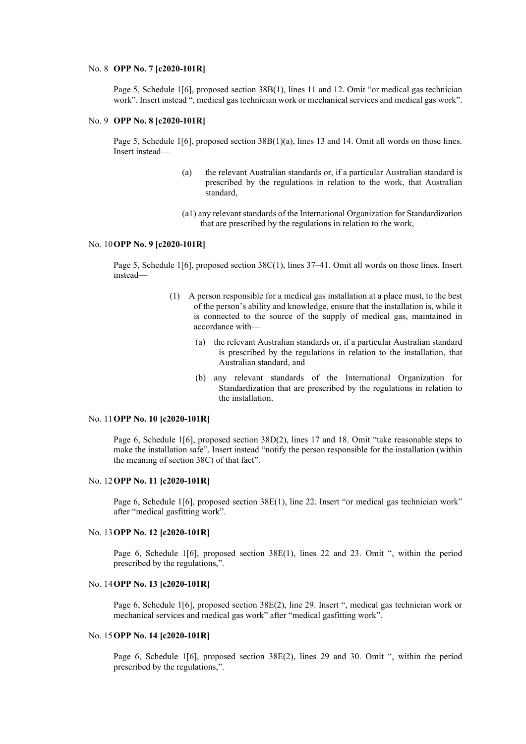### No. 8 **OPP No. 7 [c2020-101R]**

Page 5, Schedule 1[6], proposed section 38B(1), lines 11 and 12. Omit "or medical gas technician work". Insert instead ", medical gas technician work or mechanical services and medical gas work".

# No. 9 **OPP No. 8 [c2020-101R]**

Page 5, Schedule 1[6], proposed section 38B(1)(a), lines 13 and 14. Omit all words on those lines. Insert instead—

- (a) the relevant Australian standards or, if a particular Australian standard is prescribed by the regulations in relation to the work, that Australian standard,
- (a1) any relevant standards of the International Organization for Standardization that are prescribed by the regulations in relation to the work,

### No. 10**OPP No. 9 [c2020-101R]**

Page 5, Schedule 1[6], proposed section 38C(1), lines 37–41. Omit all words on those lines. Insert instead—

- (1) A person responsible for a medical gas installation at a place must, to the best of the person's ability and knowledge, ensure that the installation is, while it is connected to the source of the supply of medical gas, maintained in accordance with—
	- (a) the relevant Australian standards or, if a particular Australian standard is prescribed by the regulations in relation to the installation, that Australian standard, and
	- (b) any relevant standards of the International Organization for Standardization that are prescribed by the regulations in relation to the installation.

### No. 11**OPP No. 10 [c2020-101R]**

Page 6, Schedule 1[6], proposed section 38D(2), lines 17 and 18. Omit "take reasonable steps to make the installation safe". Insert instead "notify the person responsible for the installation (within the meaning of section 38C) of that fact".

### No. 12**OPP No. 11 [c2020-101R]**

Page 6, Schedule 1[6], proposed section 38E(1), line 22. Insert "or medical gas technician work" after "medical gasfitting work".

#### No. 13**OPP No. 12 [c2020-101R]**

Page 6, Schedule 1[6], proposed section 38E(1), lines 22 and 23. Omit ", within the period prescribed by the regulations,".

# No. 14**OPP No. 13 [c2020-101R]**

Page 6, Schedule 1[6], proposed section 38E(2), line 29. Insert ", medical gas technician work or mechanical services and medical gas work" after "medical gasfitting work".

# No. 15**OPP No. 14 [c2020-101R]**

Page 6, Schedule 1[6], proposed section 38E(2), lines 29 and 30. Omit ", within the period prescribed by the regulations,".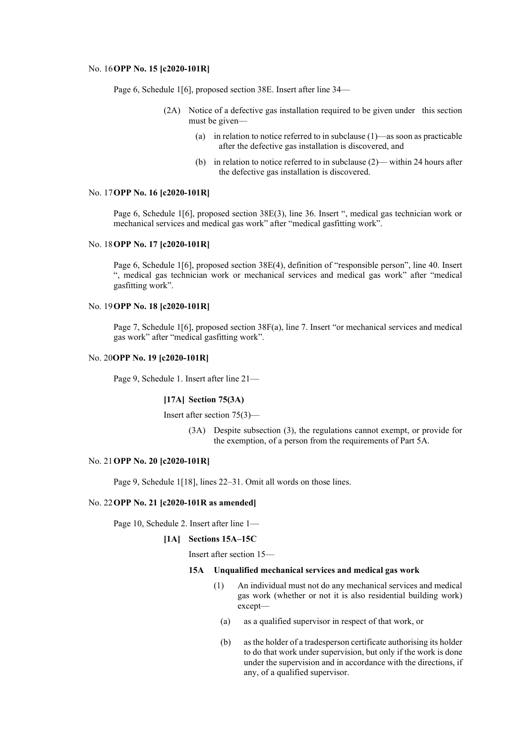### No. 16**OPP No. 15 [c2020-101R]**

Page 6, Schedule 1[6], proposed section 38E. Insert after line 34—

- (2A) Notice of a defective gas installation required to be given under this section must be given—
	- (a) in relation to notice referred to in subclause (1)—as soon as practicable after the defective gas installation is discovered, and
	- (b) in relation to notice referred to in subclause (2)— within 24 hours after the defective gas installation is discovered.

### No. 17**OPP No. 16 [c2020-101R]**

Page 6, Schedule 1[6], proposed section 38E(3), line 36. Insert ", medical gas technician work or mechanical services and medical gas work" after "medical gasfitting work".

#### No. 18**OPP No. 17 [c2020-101R]**

Page 6, Schedule 1[6], proposed section 38E(4), definition of "responsible person", line 40. Insert ", medical gas technician work or mechanical services and medical gas work" after "medical gasfitting work".

# No. 19**OPP No. 18 [c2020-101R]**

Page 7, Schedule 1[6], proposed section 38F(a), line 7. Insert "or mechanical services and medical gas work" after "medical gasfitting work".

# No. 20**OPP No. 19 [c2020-101R]**

Page 9, Schedule 1. Insert after line 21—

### **[17A] Section 75(3A)**

Insert after section 75(3)—

(3A) Despite subsection (3), the regulations cannot exempt, or provide for the exemption, of a person from the requirements of Part 5A.

# No. 21**OPP No. 20 [c2020-101R]**

Page 9, Schedule 1[18], lines 22–31. Omit all words on those lines.

#### No. 22**OPP No. 21 [c2020-101R as amended]**

Page 10, Schedule 2. Insert after line 1—

### **[1A] Sections 15A–15C**

Insert after section 15—

### **15A Unqualified mechanical services and medical gas work**

- (1) An individual must not do any mechanical services and medical gas work (whether or not it is also residential building work) except—
- (a) as a qualified supervisor in respect of that work, or
- (b) as the holder of a tradesperson certificate authorising its holder to do that work under supervision, but only if the work is done under the supervision and in accordance with the directions, if any, of a qualified supervisor.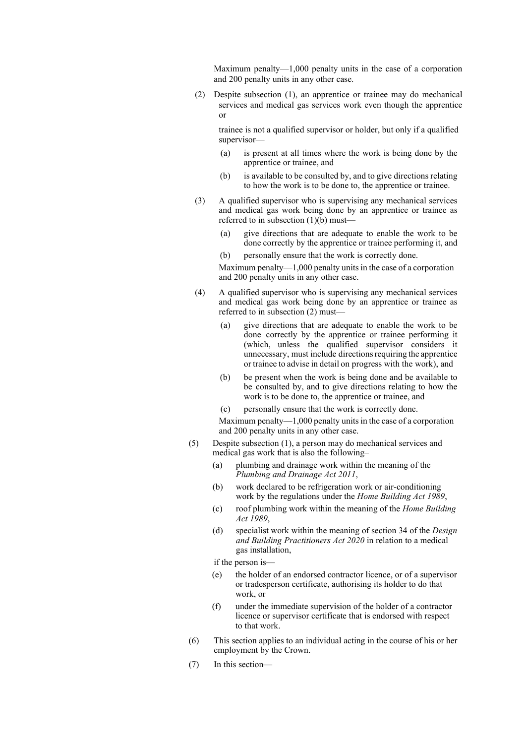Maximum penalty—1,000 penalty units in the case of a corporation and 200 penalty units in any other case.

(2) Despite subsection (1), an apprentice or trainee may do mechanical services and medical gas services work even though the apprentice or

trainee is not a qualified supervisor or holder, but only if a qualified supervisor—

- (a) is present at all times where the work is being done by the apprentice or trainee, and
- (b) is available to be consulted by, and to give directions relating to how the work is to be done to, the apprentice or trainee.
- (3) A qualified supervisor who is supervising any mechanical services and medical gas work being done by an apprentice or trainee as referred to in subsection  $(1)(b)$  must—
	- (a) give directions that are adequate to enable the work to be done correctly by the apprentice or trainee performing it, and
	- (b) personally ensure that the work is correctly done.

Maximum penalty—1,000 penalty units in the case of a corporation and 200 penalty units in any other case.

- (4) A qualified supervisor who is supervising any mechanical services and medical gas work being done by an apprentice or trainee as referred to in subsection (2) must—
	- (a) give directions that are adequate to enable the work to be done correctly by the apprentice or trainee performing it (which, unless the qualified supervisor considers it unnecessary, must include directionsrequiring the apprentice or trainee to advise in detail on progress with the work), and
	- (b) be present when the work is being done and be available to be consulted by, and to give directions relating to how the work is to be done to, the apprentice or trainee, and
	- (c) personally ensure that the work is correctly done.

Maximum penalty—1,000 penalty units in the case of a corporation and 200 penalty units in any other case.

- (5) Despite subsection (1), a person may do mechanical services and medical gas work that is also the following–
	- (a) plumbing and drainage work within the meaning of the *Plumbing and Drainage Act 2011*,
	- (b) work declared to be refrigeration work or air-conditioning work by the regulations under the *Home Building Act 1989*,
	- (c) roof plumbing work within the meaning of the *Home Building Act 1989*,
	- (d) specialist work within the meaning of section 34 of the *Design and Building Practitioners Act 2020* in relation to a medical gas installation,

if the person is—

- (e) the holder of an endorsed contractor licence, or of a supervisor or tradesperson certificate, authorising its holder to do that work, or
- (f) under the immediate supervision of the holder of a contractor licence or supervisor certificate that is endorsed with respect to that work.
- (6) This section applies to an individual acting in the course of his or her employment by the Crown.
- (7) In this section—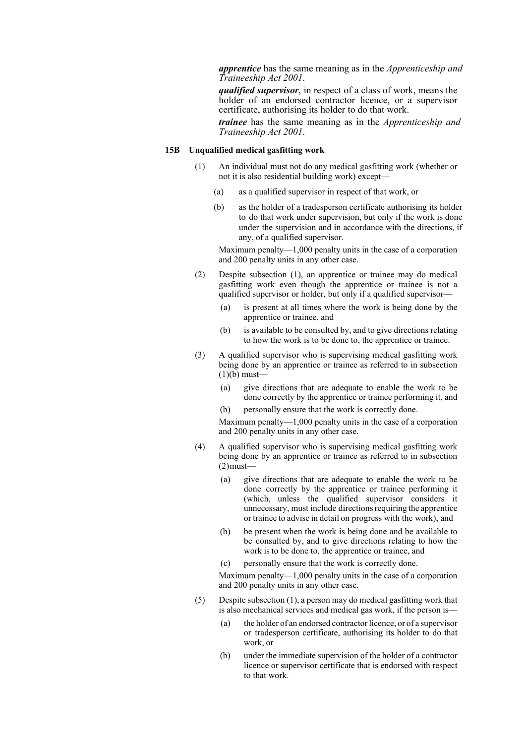*apprentice* has the same meaning as in the *Apprenticeship and Traineeship Act 2001*.

*qualified supervisor*, in respect of a class of work, means the holder of an endorsed contractor licence, or a supervisor certificate, authorising its holder to do that work.

*trainee* has the same meaning as in the *Apprenticeship and Traineeship Act 2001*.

# **15B Unqualified medical gasfitting work**

- (1) An individual must not do any medical gasfitting work (whether or not it is also residential building work) except—
	- (a) as a qualified supervisor in respect of that work, or
	- (b) as the holder of a tradesperson certificate authorising its holder to do that work under supervision, but only if the work is done under the supervision and in accordance with the directions, if any, of a qualified supervisor.

Maximum penalty—1,000 penalty units in the case of a corporation and 200 penalty units in any other case.

- (2) Despite subsection (1), an apprentice or trainee may do medical gasfitting work even though the apprentice or trainee is not a qualified supervisor or holder, but only if a qualified supervisor—
	- (a) is present at all times where the work is being done by the apprentice or trainee, and
	- (b) is available to be consulted by, and to give directions relating to how the work is to be done to, the apprentice or trainee.
- (3) A qualified supervisor who is supervising medical gasfitting work being done by an apprentice or trainee as referred to in subsection  $(1)(b)$  must-
	- (a) give directions that are adequate to enable the work to be done correctly by the apprentice or trainee performing it, and
	- (b) personally ensure that the work is correctly done.

Maximum penalty—1,000 penalty units in the case of a corporation and 200 penalty units in any other case.

- (4) A qualified supervisor who is supervising medical gasfitting work being done by an apprentice or trainee as referred to in subsection  $(2)$  must-
	- (a) give directions that are adequate to enable the work to be done correctly by the apprentice or trainee performing it (which, unless the qualified supervisor considers it unnecessary, must include directionsrequiring the apprentice or trainee to advise in detail on progress with the work), and
	- (b) be present when the work is being done and be available to be consulted by, and to give directions relating to how the work is to be done to, the apprentice or trainee, and
	- (c) personally ensure that the work is correctly done.

Maximum penalty—1,000 penalty units in the case of a corporation and 200 penalty units in any other case.

- (5) Despite subsection (1), a person may do medical gasfitting work that is also mechanical services and medical gas work, if the person is—
	- (a) the holder of an endorsed contractor licence, or of a supervisor or tradesperson certificate, authorising its holder to do that work, or
	- (b) under the immediate supervision of the holder of a contractor licence or supervisor certificate that is endorsed with respect to that work.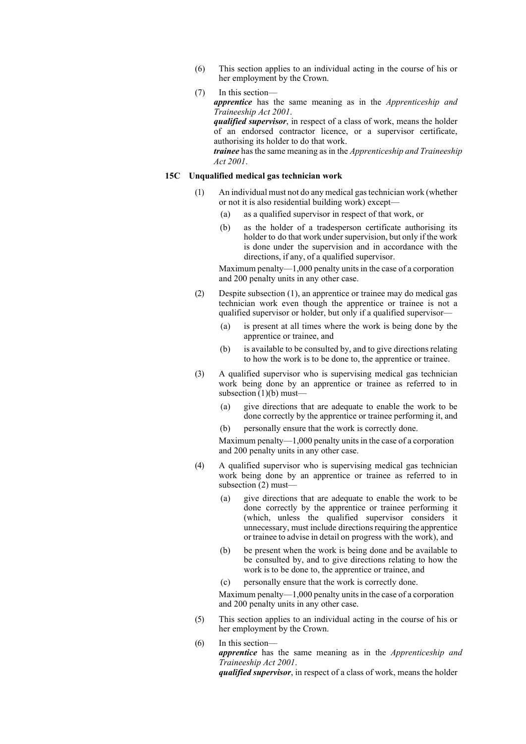- (6) This section applies to an individual acting in the course of his or her employment by the Crown.
- (7) In this section—

*apprentice* has the same meaning as in the *Apprenticeship and Traineeship Act 2001*. *qualified supervisor*, in respect of a class of work, means the holder of an endorsed contractor licence, or a supervisor certificate, authorising its holder to do that work. *trainee* has the same meaning as in the *Apprenticeship and Traineeship Act 2001*.

### **15C Unqualified medical gas technician work**

- (1) An individual must not do any medical gastechnician work (whether or not it is also residential building work) except—
	- (a) as a qualified supervisor in respect of that work, or
	- (b) as the holder of a tradesperson certificate authorising its holder to do that work under supervision, but only if the work is done under the supervision and in accordance with the directions, if any, of a qualified supervisor.

Maximum penalty—1,000 penalty units in the case of a corporation and 200 penalty units in any other case.

- (2) Despite subsection (1), an apprentice or trainee may do medical gas technician work even though the apprentice or trainee is not a qualified supervisor or holder, but only if a qualified supervisor—
	- (a) is present at all times where the work is being done by the apprentice or trainee, and
	- (b) is available to be consulted by, and to give directions relating to how the work is to be done to, the apprentice or trainee.
- (3) A qualified supervisor who is supervising medical gas technician work being done by an apprentice or trainee as referred to in subsection  $(1)(b)$  must—
	- (a) give directions that are adequate to enable the work to be done correctly by the apprentice or trainee performing it, and
	- (b) personally ensure that the work is correctly done.

Maximum penalty—1,000 penalty units in the case of a corporation and 200 penalty units in any other case.

- (4) A qualified supervisor who is supervising medical gas technician work being done by an apprentice or trainee as referred to in subsection (2) must—
	- (a) give directions that are adequate to enable the work to be done correctly by the apprentice or trainee performing it (which, unless the qualified supervisor considers it unnecessary, must include directions requiring the apprentice or trainee to advise in detail on progress with the work), and
	- (b) be present when the work is being done and be available to be consulted by, and to give directions relating to how the work is to be done to, the apprentice or trainee, and
	- (c) personally ensure that the work is correctly done.

Maximum penalty—1,000 penalty units in the case of a corporation and 200 penalty units in any other case.

- (5) This section applies to an individual acting in the course of his or her employment by the Crown.
- (6) In this section *apprentice* has the same meaning as in the *Apprenticeship and Traineeship Act 2001*. *qualified supervisor*, in respect of a class of work, means the holder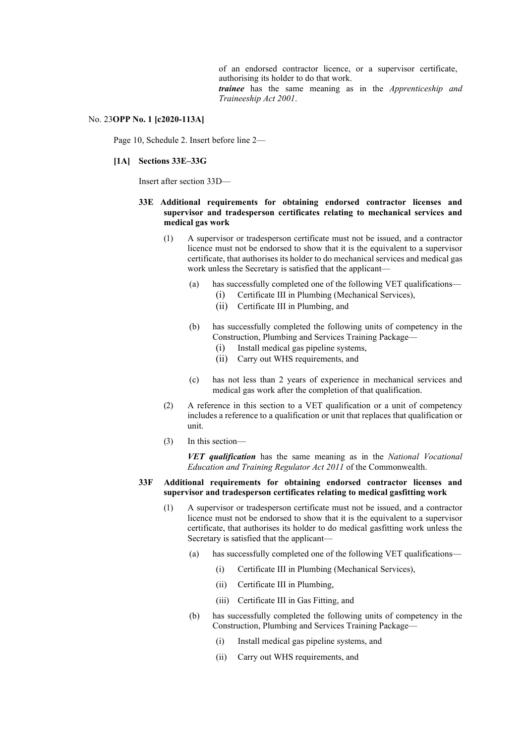of an endorsed contractor licence, or a supervisor certificate, authorising its holder to do that work. *trainee* has the same meaning as in the *Apprenticeship and Traineeship Act 2001*.

### No. 23**OPP No. 1 [c2020-113A]**

Page 10, Schedule 2. Insert before line 2—

### **[1A] Sections 33E–33G**

Insert after section 33D—

# **33E Additional requirements for obtaining endorsed contractor licenses and supervisor and tradesperson certificates relating to mechanical services and medical gas work**

- (1) A supervisor or tradesperson certificate must not be issued, and a contractor licence must not be endorsed to show that it is the equivalent to a supervisor certificate, that authorises its holder to do mechanical services and medical gas work unless the Secretary is satisfied that the applicant—
	- (a) has successfully completed one of the following VET qualifications—
		- (i) Certificate III in Plumbing (Mechanical Services),
		- (ii) Certificate III in Plumbing, and
	- (b) has successfully completed the following units of competency in the Construction, Plumbing and Services Training Package—
		- (i) Install medical gas pipeline systems,
		- (ii) Carry out WHS requirements, and
	- (c) has not less than 2 years of experience in mechanical services and medical gas work after the completion of that qualification.
- (2) A reference in this section to a VET qualification or a unit of competency includes a reference to a qualification or unit that replaces that qualification or unit.
- (3) In this section—

*VET qualification* has the same meaning as in the *National Vocational Education and Training Regulator Act 2011* of the Commonwealth.

# **33F Additional requirements for obtaining endorsed contractor licenses and supervisor and tradesperson certificates relating to medical gasfitting work**

- (1) A supervisor or tradesperson certificate must not be issued, and a contractor licence must not be endorsed to show that it is the equivalent to a supervisor certificate, that authorises its holder to do medical gasfitting work unless the Secretary is satisfied that the applicant—
	- (a) has successfully completed one of the following VET qualifications—
		- (i) Certificate III in Plumbing (Mechanical Services),
		- (ii) Certificate III in Plumbing,
		- (iii) Certificate III in Gas Fitting, and
	- (b) has successfully completed the following units of competency in the Construction, Plumbing and Services Training Package—
		- (i) Install medical gas pipeline systems, and
		- (ii) Carry out WHS requirements, and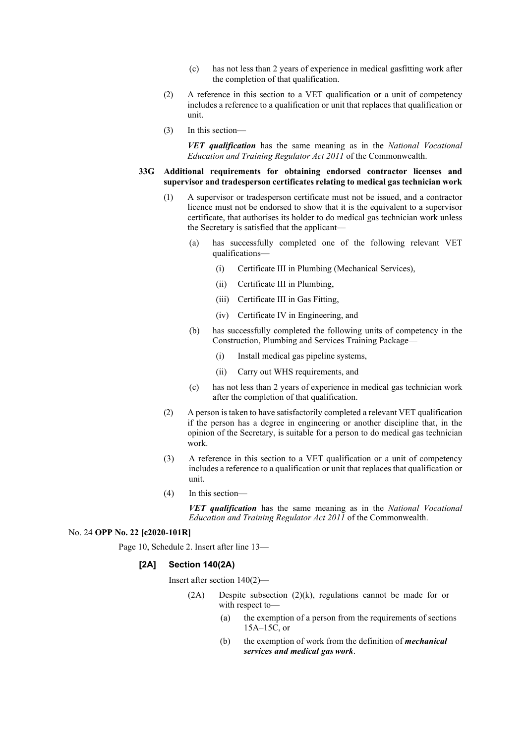- (c) has not less than 2 years of experience in medical gasfitting work after the completion of that qualification.
- (2) A reference in this section to a VET qualification or a unit of competency includes a reference to a qualification or unit that replaces that qualification or unit.
- (3) In this section—

*VET qualification* has the same meaning as in the *National Vocational Education and Training Regulator Act 2011* of the Commonwealth.

# **33G Additional requirements for obtaining endorsed contractor licenses and supervisor and tradesperson certificates relating to medical gas technician work**

- (1) A supervisor or tradesperson certificate must not be issued, and a contractor licence must not be endorsed to show that it is the equivalent to a supervisor certificate, that authorises its holder to do medical gas technician work unless the Secretary is satisfied that the applicant—
	- (a) has successfully completed one of the following relevant VET qualifications—
		- (i) Certificate III in Plumbing (Mechanical Services),
		- (ii) Certificate III in Plumbing,
		- (iii) Certificate III in Gas Fitting,
		- (iv) Certificate IV in Engineering, and
	- (b) has successfully completed the following units of competency in the Construction, Plumbing and Services Training Package—
		- (i) Install medical gas pipeline systems,
		- (ii) Carry out WHS requirements, and
	- (c) has not less than 2 years of experience in medical gas technician work after the completion of that qualification.
- (2) A person is taken to have satisfactorily completed a relevant VET qualification if the person has a degree in engineering or another discipline that, in the opinion of the Secretary, is suitable for a person to do medical gas technician work.
- (3) A reference in this section to a VET qualification or a unit of competency includes a reference to a qualification or unit that replaces that qualification or unit.
- (4) In this section—

*VET qualification* has the same meaning as in the *National Vocational Education and Training Regulator Act 2011* of the Commonwealth.

# No. 24 **OPP No. 22 [c2020-101R]**

Page 10, Schedule 2. Insert after line 13—

# **[2A] Section 140(2A)**

Insert after section 140(2)—

- (2A) Despite subsection (2)(k), regulations cannot be made for or with respect to—
	- (a) the exemption of a person from the requirements of sections 15A–15C, or
	- (b) the exemption of work from the definition of *mechanical services and medical gas work*.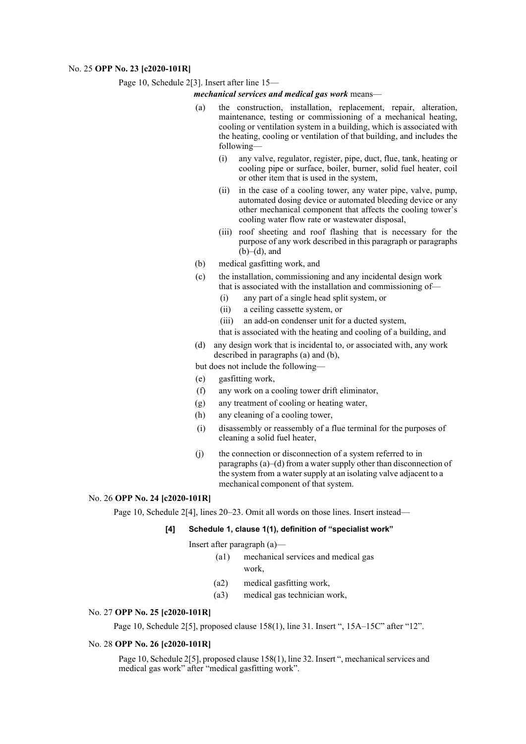### No. 25 **OPP No. 23 [c2020-101R]**

Page 10, Schedule 2[3]. Insert after line 15—

### *mechanical services and medical gas work* means—

- (a) the construction, installation, replacement, repair, alteration, maintenance, testing or commissioning of a mechanical heating, cooling or ventilation system in a building, which is associated with the heating, cooling or ventilation of that building, and includes the following—
	- (i) any valve, regulator, register, pipe, duct, flue, tank, heating or cooling pipe or surface, boiler, burner, solid fuel heater, coil or other item that is used in the system,
	- (ii) in the case of a cooling tower, any water pipe, valve, pump, automated dosing device or automated bleeding device or any other mechanical component that affects the cooling tower's cooling water flow rate or wastewater disposal,
	- (iii) roof sheeting and roof flashing that is necessary for the purpose of any work described in this paragraph or paragraphs  $(b)$ – $(d)$ , and
- (b) medical gasfitting work, and
- (c) the installation, commissioning and any incidental design work that is associated with the installation and commissioning of—
	- (i) any part of a single head split system, or
	- (ii) a ceiling cassette system, or
	- (iii) an add-on condenser unit for a ducted system,

that is associated with the heating and cooling of a building, and

(d) any design work that is incidental to, or associated with, any work described in paragraphs (a) and (b),

but does not include the following—

- (e) gasfitting work,
- (f) any work on a cooling tower drift eliminator,
- (g) any treatment of cooling or heating water,
- (h) any cleaning of a cooling tower,
- (i) disassembly or reassembly of a flue terminal for the purposes of cleaning a solid fuel heater,
- (j) the connection or disconnection of a system referred to in paragraphs (a)–(d) from a water supply other than disconnection of the system from a water supply at an isolating valve adjacent to a mechanical component of that system.

# No. 26 **OPP No. 24 [c2020-101R]**

Page 10, Schedule 2[4], lines 20–23. Omit all words on those lines. Insert instead—

# **[4] Schedule 1, clause 1(1), definition of "specialist work"**

Insert after paragraph (a)—

- (a1) mechanical services and medical gas work,
- (a2) medical gasfitting work,
- (a3) medical gas technician work,

# No. 27 **OPP No. 25 [c2020-101R]**

Page 10, Schedule 2[5], proposed clause 158(1), line 31. Insert ", 15A–15C" after "12".

# No. 28 **OPP No. 26 [c2020-101R]**

Page 10, Schedule 2[5], proposed clause 158(1), line 32. Insert ", mechanical services and medical gas work" after "medical gasfitting work".